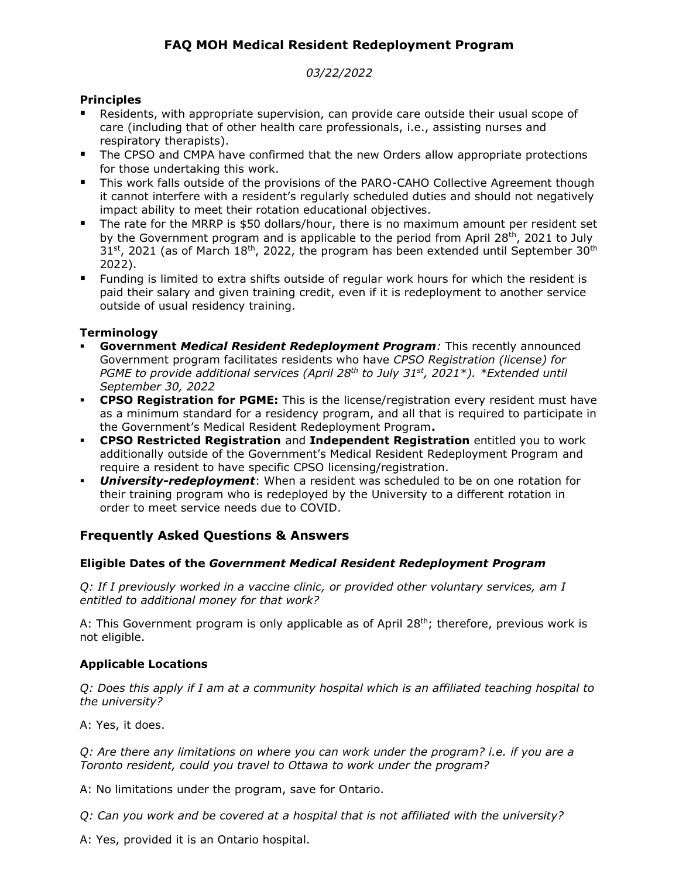# **FAQ MOH Medical Resident Redeployment Program**

### *03/22/2022*

# **Principles**

- Residents, with appropriate supervision, can provide care outside their usual scope of care (including that of other health care professionals, i.e., assisting nurses and respiratory therapists).
- The CPSO and CMPA have confirmed that the new Orders allow appropriate protections for those undertaking this work.
- **This work falls outside of the provisions of the PARO-CAHO Collective Agreement though** it cannot interfere with a resident's regularly scheduled duties and should not negatively impact ability to meet their rotation educational objectives.
- The rate for the MRRP is \$50 dollars/hour, there is no maximum amount per resident set by the Government program and is applicable to the period from April 28<sup>th</sup>, 2021 to July  $31<sup>st</sup>$ , 2021 (as of March  $18<sup>th</sup>$ , 2022, the program has been extended until September  $30<sup>th</sup>$ 2022).
- Funding is limited to extra shifts outside of regular work hours for which the resident is paid their salary and given training credit, even if it is redeployment to another service outside of usual residency training.

# **Terminology**

- **Government** *Medical Resident Redeployment Program:* This recently announced Government program facilitates residents who have *CPSO Registration (license) for PGME to provide additional services (April 28th to July 31st, 2021\*). \*Extended until September 30, 2022*
- **CPSO Registration for PGME:** This is the license/registration every resident must have as a minimum standard for a residency program, and all that is required to participate in the Government's Medical Resident Redeployment Program**.**
- **CPSO Restricted Registration** and **Independent Registration** entitled you to work additionally outside of the Government's Medical Resident Redeployment Program and require a resident to have specific CPSO licensing/registration.
- *University-redeployment*: When a resident was scheduled to be on one rotation for their training program who is redeployed by the University to a different rotation in order to meet service needs due to COVID.

# **Frequently Asked Questions & Answers**

# **Eligible Dates of the** *Government Medical Resident Redeployment Program*

*Q: If I previously worked in a vaccine clinic, or provided other voluntary services, am I entitled to additional money for that work?*

A: This Government program is only applicable as of April  $28<sup>th</sup>$ ; therefore, previous work is not eligible.

# **Applicable Locations**

*Q: Does this apply if I am at a community hospital which is an affiliated teaching hospital to the university?*

A: Yes, it does.

*Q: Are there any limitations on where you can work under the program? i.e. if you are a Toronto resident, could you travel to Ottawa to work under the program?* 

A: No limitations under the program, save for Ontario.

*Q: Can you work and be covered at a hospital that is not affiliated with the university?* 

A: Yes, provided it is an Ontario hospital.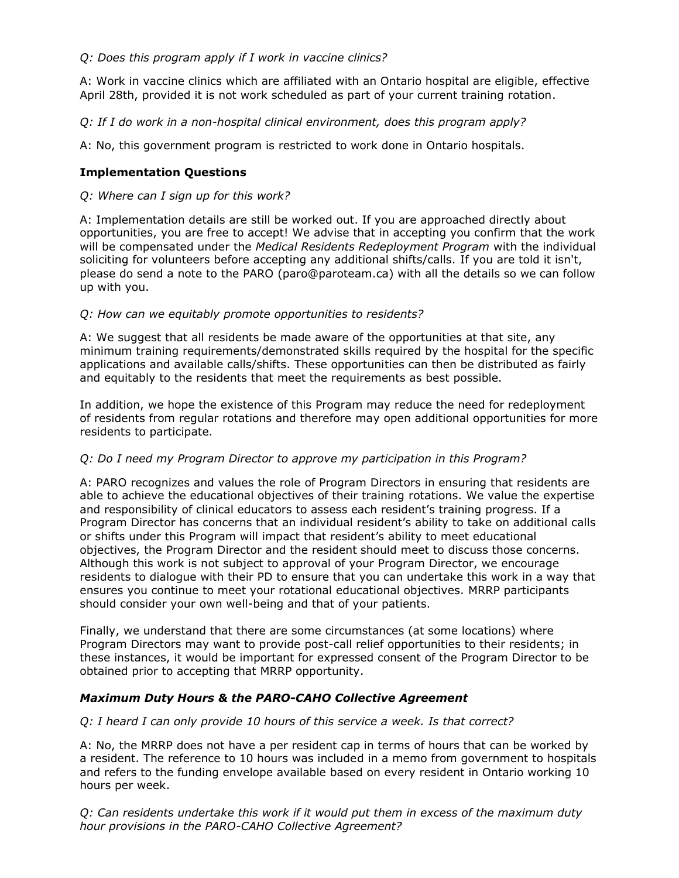# *Q: Does this program apply if I work in vaccine clinics?*

A: Work in vaccine clinics which are affiliated with an Ontario hospital are eligible, effective April 28th, provided it is not work scheduled as part of your current training rotation.

*Q: If I do work in a non-hospital clinical environment, does this program apply?*

A: No, this government program is restricted to work done in Ontario hospitals.

### **Implementation Questions**

### *Q: Where can I sign up for this work?*

A: Implementation details are still be worked out. If you are approached directly about opportunities, you are free to accept! We advise that in accepting you confirm that the work will be compensated under the *Medical Residents Redeployment Program* with the individual soliciting for volunteers before accepting any additional shifts/calls*.* If you are told it isn't, please do send a note to the PARO (paro@paroteam.ca) with all the details so we can follow up with you.

### *Q: How can we equitably promote opportunities to residents?*

A: We suggest that all residents be made aware of the opportunities at that site, any minimum training requirements/demonstrated skills required by the hospital for the specific applications and available calls/shifts. These opportunities can then be distributed as fairly and equitably to the residents that meet the requirements as best possible.

In addition, we hope the existence of this Program may reduce the need for redeployment of residents from regular rotations and therefore may open additional opportunities for more residents to participate.

#### *Q: Do I need my Program Director to approve my participation in this Program?*

A: PARO recognizes and values the role of Program Directors in ensuring that residents are able to achieve the educational objectives of their training rotations. We value the expertise and responsibility of clinical educators to assess each resident's training progress. If a Program Director has concerns that an individual resident's ability to take on additional calls or shifts under this Program will impact that resident's ability to meet educational objectives, the Program Director and the resident should meet to discuss those concerns. Although this work is not subject to approval of your Program Director, we encourage residents to dialogue with their PD to ensure that you can undertake this work in a way that ensures you continue to meet your rotational educational objectives. MRRP participants should consider your own well-being and that of your patients.

Finally, we understand that there are some circumstances (at some locations) where Program Directors may want to provide post-call relief opportunities to their residents; in these instances, it would be important for expressed consent of the Program Director to be obtained prior to accepting that MRRP opportunity.

#### *Maximum Duty Hours & the PARO-CAHO Collective Agreement*

#### *Q: I heard I can only provide 10 hours of this service a week. Is that correct?*

A: No, the MRRP does not have a per resident cap in terms of hours that can be worked by a resident. The reference to 10 hours was included in a memo from government to hospitals and refers to the funding envelope available based on every resident in Ontario working 10 hours per week.

*Q: Can residents undertake this work if it would put them in excess of the maximum duty hour provisions in the PARO-CAHO Collective Agreement?*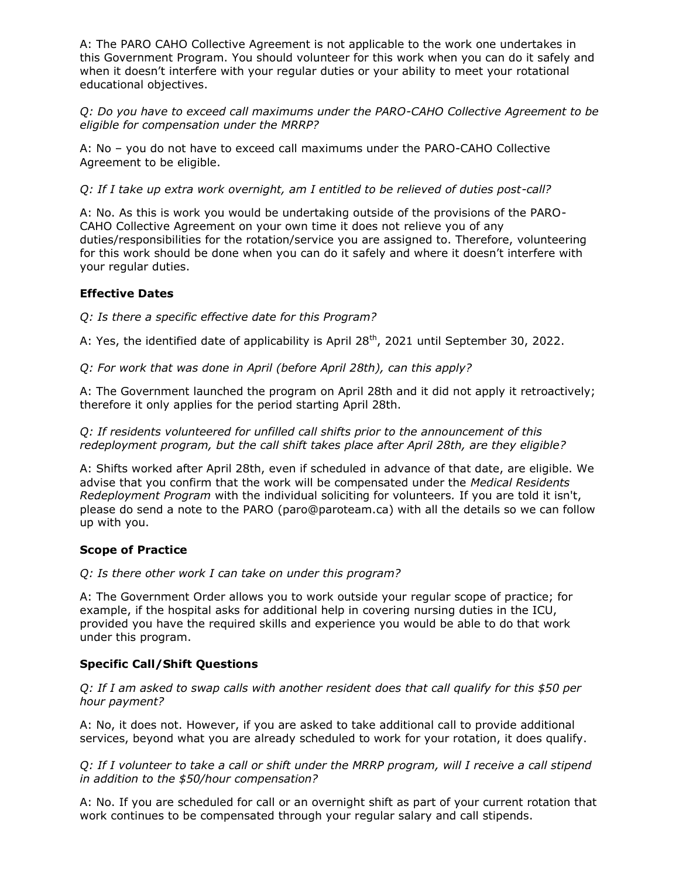A: The PARO CAHO Collective Agreement is not applicable to the work one undertakes in this Government Program. You should volunteer for this work when you can do it safely and when it doesn't interfere with your regular duties or your ability to meet your rotational educational objectives.

*Q: Do you have to exceed call maximums under the PARO-CAHO Collective Agreement to be eligible for compensation under the MRRP?* 

A: No – you do not have to exceed call maximums under the PARO-CAHO Collective Agreement to be eligible.

*Q: If I take up extra work overnight, am I entitled to be relieved of duties post-call?*

A: No. As this is work you would be undertaking outside of the provisions of the PARO-CAHO Collective Agreement on your own time it does not relieve you of any duties/responsibilities for the rotation/service you are assigned to. Therefore, volunteering for this work should be done when you can do it safely and where it doesn't interfere with your regular duties.

### **Effective Dates**

*Q: Is there a specific effective date for this Program?*

A: Yes, the identified date of applicability is April 28<sup>th</sup>, 2021 until September 30, 2022.

*Q: For work that was done in April (before April 28th), can this apply?* 

A: The Government launched the program on April 28th and it did not apply it retroactively; therefore it only applies for the period starting April 28th.

*Q: If residents volunteered for unfilled call shifts prior to the announcement of this redeployment program, but the call shift takes place after April 28th, are they eligible?*

A: Shifts worked after April 28th, even if scheduled in advance of that date, are eligible. We advise that you confirm that the work will be compensated under the *Medical Residents Redeployment Program* with the individual soliciting for volunteers*.* If you are told it isn't, please do send a note to the PARO (paro@paroteam.ca) with all the details so we can follow up with you.

#### **Scope of Practice**

*Q: Is there other work I can take on under this program?*

A: The Government Order allows you to work outside your regular scope of practice; for example, if the hospital asks for additional help in covering nursing duties in the ICU, provided you have the required skills and experience you would be able to do that work under this program.

# **Specific Call/Shift Questions**

*Q: If I am asked to swap calls with another resident does that call qualify for this \$50 per hour payment?*

A: No, it does not. However, if you are asked to take additional call to provide additional services, beyond what you are already scheduled to work for your rotation, it does qualify.

*Q: If I volunteer to take a call or shift under the MRRP program, will I receive a call stipend in addition to the \$50/hour compensation?* 

A: No. If you are scheduled for call or an overnight shift as part of your current rotation that work continues to be compensated through your regular salary and call stipends.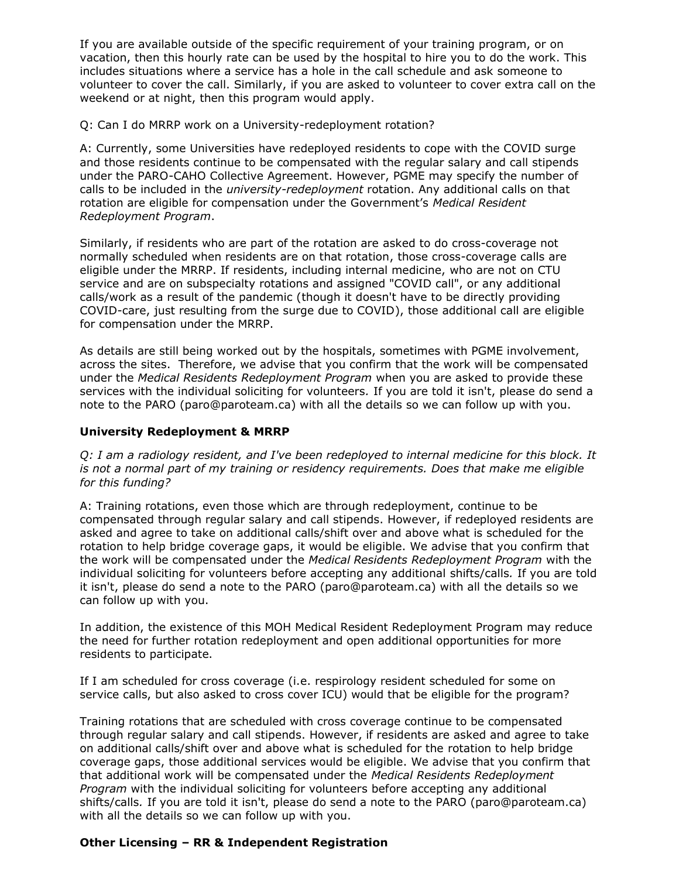If you are available outside of the specific requirement of your training program, or on vacation, then this hourly rate can be used by the hospital to hire you to do the work. This includes situations where a service has a hole in the call schedule and ask someone to volunteer to cover the call. Similarly, if you are asked to volunteer to cover extra call on the weekend or at night, then this program would apply.

Q: Can I do MRRP work on a University-redeployment rotation?

A: Currently, some Universities have redeployed residents to cope with the COVID surge and those residents continue to be compensated with the regular salary and call stipends under the PARO-CAHO Collective Agreement. However, PGME may specify the number of calls to be included in the *university-redeployment* rotation. Any additional calls on that rotation are eligible for compensation under the Government's *Medical Resident Redeployment Program*.

Similarly, if residents who are part of the rotation are asked to do cross-coverage not normally scheduled when residents are on that rotation, those cross-coverage calls are eligible under the MRRP. If residents, including internal medicine, who are not on CTU service and are on subspecialty rotations and assigned "COVID call", or any additional calls/work as a result of the pandemic (though it doesn't have to be directly providing COVID-care, just resulting from the surge due to COVID), those additional call are eligible for compensation under the MRRP.

As details are still being worked out by the hospitals, sometimes with PGME involvement, across the sites. Therefore, we advise that you confirm that the work will be compensated under the *Medical Residents Redeployment Program* when you are asked to provide these services with the individual soliciting for volunteers*.* If you are told it isn't, please do send a note to the PARO (paro@paroteam.ca) with all the details so we can follow up with you.

### **University Redeployment & MRRP**

*Q: I am a radiology resident, and I've been redeployed to internal medicine for this block. It is not a normal part of my training or residency requirements. Does that make me eligible for this funding?*

A: Training rotations, even those which are through redeployment, continue to be compensated through regular salary and call stipends. However, if redeployed residents are asked and agree to take on additional calls/shift over and above what is scheduled for the rotation to help bridge coverage gaps, it would be eligible. We advise that you confirm that the work will be compensated under the *Medical Residents Redeployment Program* with the individual soliciting for volunteers before accepting any additional shifts/calls*.* If you are told it isn't, please do send a note to the PARO (paro@paroteam.ca) with all the details so we can follow up with you.

In addition, the existence of this MOH Medical Resident Redeployment Program may reduce the need for further rotation redeployment and open additional opportunities for more residents to participate.

If I am scheduled for cross coverage (i.e. respirology resident scheduled for some on service calls, but also asked to cross cover ICU) would that be eligible for the program?

Training rotations that are scheduled with cross coverage continue to be compensated through regular salary and call stipends. However, if residents are asked and agree to take on additional calls/shift over and above what is scheduled for the rotation to help bridge coverage gaps, those additional services would be eligible. We advise that you confirm that that additional work will be compensated under the *Medical Residents Redeployment Program* with the individual soliciting for volunteers before accepting any additional shifts/calls*.* If you are told it isn't, please do send a note to the PARO (paro@paroteam.ca) with all the details so we can follow up with you.

# **Other Licensing – RR & Independent Registration**